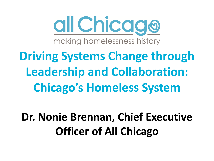

**Driving Systems Change through Leadership and Collaboration: Chicago's Homeless System**

**Dr. Nonie Brennan, Chief Executive Officer of All Chicago**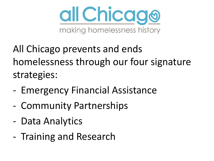

All Chicago prevents and ends homelessness through our four signature strategies:

- Emergency Financial Assistance
- Community Partnerships
- Data Analytics
- Training and Research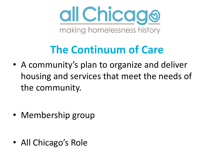

### **The Continuum of Care**

• A community's plan to organize and deliver housing and services that meet the needs of the community.

• Membership group

• All Chicago's Role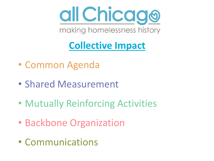

#### **Collective Impact**

- Common Agenda
- Shared Measurement
- Mutually Reinforcing Activities
- Backbone Organization
- Communications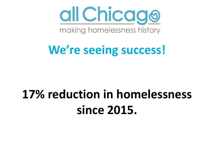

### **We're seeing success!**

## **17% reduction in homelessness since 2015.**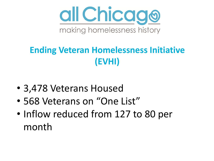

#### **Ending Veteran Homelessness Initiative (EVHI)**

- 3,478 Veterans Housed
- 568 Veterans on "One List"
- Inflow reduced from 127 to 80 per month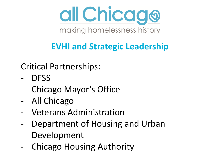

#### **EVHI and Strategic Leadership**

Critical Partnerships:

- DFSS
- Chicago Mayor's Office
- All Chicago
- Veterans Administration
- Department of Housing and Urban Development
- Chicago Housing Authority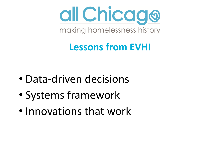

#### **Lessons from EVHI**

- Data-driven decisions
- Systems framework
- Innovations that work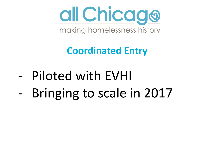

#### **Coordinated Entry**

- Piloted with EVHI
- Bringing to scale in 2017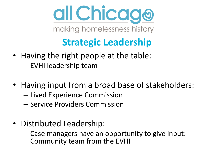

#### **Strategic Leadership**

- Having the right people at the table: – EVHI leadership team
- Having input from a broad base of stakeholders:
	- Lived Experience Commission
	- Service Providers Commission
- Distributed Leadership:
	- Case managers have an opportunity to give input: Community team from the EVHI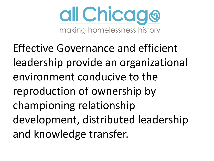

Effective Governance and efficient leadership provide an organizational environment conducive to the reproduction of ownership by championing relationship development, distributed leadership and knowledge transfer.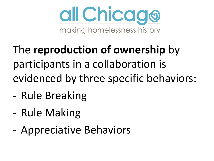

- The **reproduction of ownership** by participants in a collaboration is evidenced by three specific behaviors:
- Rule Breaking
- Rule Making
- Appreciative Behaviors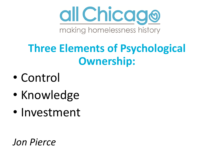

### **Three Elements of Psychological Ownership:**

- Control
- Knowledge
- Investment

*Jon Pierce*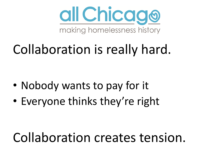

# Collaboration is really hard.

- Nobody wants to pay for it
- Everyone thinks they're right

## Collaboration creates tension.